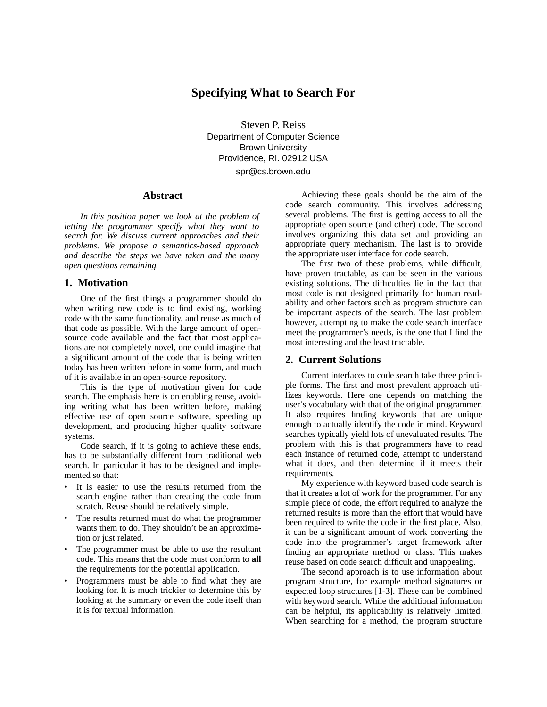## **Specifying What to Search For**

Steven P. Reiss Department of Computer Science Brown University Providence, RI. 02912 USA

spr@cs.brown.edu

#### **Abstract**

*In this position paper we look at the problem of letting the programmer specify what they want to search for. We discuss current approaches and their problems. We propose a semantics-based approach and describe the steps we have taken and the many open questions remaining.*

#### **1. Motivation**

One of the first things a programmer should do when writing new code is to find existing, working code with the same functionality, and reuse as much of that code as possible. With the large amount of opensource code available and the fact that most applications are not completely novel, one could imagine that a significant amount of the code that is being written today has been written before in some form, and much of it is available in an open-source repository.

This is the type of motivation given for code search. The emphasis here is on enabling reuse, avoiding writing what has been written before, making effective use of open source software, speeding up development, and producing higher quality software systems.

Code search, if it is going to achieve these ends, has to be substantially different from traditional web search. In particular it has to be designed and implemented so that:

- It is easier to use the results returned from the search engine rather than creating the code from scratch. Reuse should be relatively simple.
- The results returned must do what the programmer wants them to do. They shouldn't be an approximation or just related.
- The programmer must be able to use the resultant code. This means that the code must conform to **all** the requirements for the potential application.
- Programmers must be able to find what they are looking for. It is much trickier to determine this by looking at the summary or even the code itself than it is for textual information.

Achieving these goals should be the aim of the code search community. This involves addressing several problems. The first is getting access to all the appropriate open source (and other) code. The second involves organizing this data set and providing an appropriate query mechanism. The last is to provide the appropriate user interface for code search.

The first two of these problems, while difficult, have proven tractable, as can be seen in the various existing solutions. The difficulties lie in the fact that most code is not designed primarily for human readability and other factors such as program structure can be important aspects of the search. The last problem however, attempting to make the code search interface meet the programmer's needs, is the one that I find the most interesting and the least tractable.

#### **2. Current Solutions**

Current interfaces to code search take three principle forms. The first and most prevalent approach utilizes keywords. Here one depends on matching the user's vocabulary with that of the original programmer. It also requires finding keywords that are unique enough to actually identify the code in mind. Keyword searches typically yield lots of unevaluated results. The problem with this is that programmers have to read each instance of returned code, attempt to understand what it does, and then determine if it meets their requirements.

My experience with keyword based code search is that it creates a lot of work for the programmer. For any simple piece of code, the effort required to analyze the returned results is more than the effort that would have been required to write the code in the first place. Also, it can be a significant amount of work converting the code into the programmer's target framework after finding an appropriate method or class. This makes reuse based on code search difficult and unappealing.

The second approach is to use information about program structure, for example method signatures or expected loop structures [1-3]. These can be combined with keyword search. While the additional information can be helpful, its applicability is relatively limited. When searching for a method, the program structure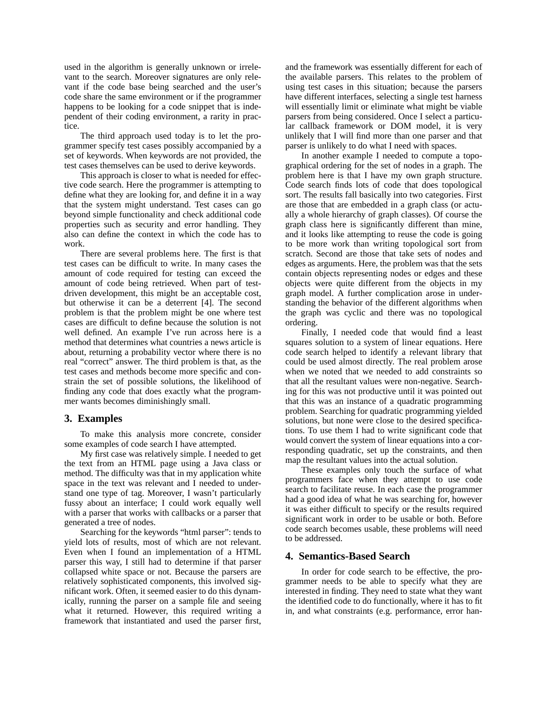used in the algorithm is generally unknown or irrelevant to the search. Moreover signatures are only relevant if the code base being searched and the user's code share the same environment or if the programmer happens to be looking for a code snippet that is independent of their coding environment, a rarity in practice.

The third approach used today is to let the programmer specify test cases possibly accompanied by a set of keywords. When keywords are not provided, the test cases themselves can be used to derive keywords.

This approach is closer to what is needed for effective code search. Here the programmer is attempting to define what they are looking for, and define it in a way that the system might understand. Test cases can go beyond simple functionality and check additional code properties such as security and error handling. They also can define the context in which the code has to work.

There are several problems here. The first is that test cases can be difficult to write. In many cases the amount of code required for testing can exceed the amount of code being retrieved. When part of testdriven development, this might be an acceptable cost, but otherwise it can be a deterrent [4]. The second problem is that the problem might be one where test cases are difficult to define because the solution is not well defined. An example I've run across here is a method that determines what countries a news article is about, returning a probability vector where there is no real "correct" answer. The third problem is that, as the test cases and methods become more specific and constrain the set of possible solutions, the likelihood of finding any code that does exactly what the programmer wants becomes diminishingly small.

#### **3. Examples**

To make this analysis more concrete, consider some examples of code search I have attempted.

My first case was relatively simple. I needed to get the text from an HTML page using a Java class or method. The difficulty was that in my application white space in the text was relevant and I needed to understand one type of tag. Moreover, I wasn't particularly fussy about an interface; I could work equally well with a parser that works with callbacks or a parser that generated a tree of nodes.

Searching for the keywords "html parser": tends to yield lots of results, most of which are not relevant. Even when I found an implementation of a HTML parser this way, I still had to determine if that parser collapsed white space or not. Because the parsers are relatively sophisticated components, this involved significant work. Often, it seemed easier to do this dynamically, running the parser on a sample file and seeing what it returned. However, this required writing a framework that instantiated and used the parser first,

and the framework was essentially different for each of the available parsers. This relates to the problem of using test cases in this situation; because the parsers have different interfaces, selecting a single test harness will essentially limit or eliminate what might be viable parsers from being considered. Once I select a particular callback framework or DOM model, it is very unlikely that I will find more than one parser and that parser is unlikely to do what I need with spaces.

In another example I needed to compute a topographical ordering for the set of nodes in a graph. The problem here is that I have my own graph structure. Code search finds lots of code that does topological sort. The results fall basically into two categories. First are those that are embedded in a graph class (or actually a whole hierarchy of graph classes). Of course the graph class here is significantly different than mine, and it looks like attempting to reuse the code is going to be more work than writing topological sort from scratch. Second are those that take sets of nodes and edges as arguments. Here, the problem was that the sets contain objects representing nodes or edges and these objects were quite different from the objects in my graph model. A further complication arose in understanding the behavior of the different algorithms when the graph was cyclic and there was no topological ordering.

Finally, I needed code that would find a least squares solution to a system of linear equations. Here code search helped to identify a relevant library that could be used almost directly. The real problem arose when we noted that we needed to add constraints so that all the resultant values were non-negative. Searching for this was not productive until it was pointed out that this was an instance of a quadratic programming problem. Searching for quadratic programming yielded solutions, but none were close to the desired specifications. To use them I had to write significant code that would convert the system of linear equations into a corresponding quadratic, set up the constraints, and then map the resultant values into the actual solution.

These examples only touch the surface of what programmers face when they attempt to use code search to facilitate reuse. In each case the programmer had a good idea of what he was searching for, however it was either difficult to specify or the results required significant work in order to be usable or both. Before code search becomes usable, these problems will need to be addressed.

#### **4. Semantics-Based Search**

In order for code search to be effective, the programmer needs to be able to specify what they are interested in finding. They need to state what they want the identified code to do functionally, where it has to fit in, and what constraints (e.g. performance, error han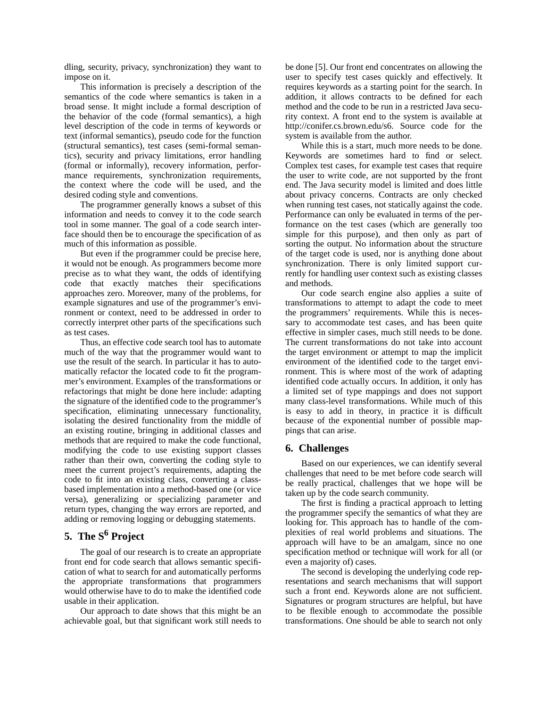dling, security, privacy, synchronization) they want to impose on it.

This information is precisely a description of the semantics of the code where semantics is taken in a broad sense. It might include a formal description of the behavior of the code (formal semantics), a high level description of the code in terms of keywords or text (informal semantics), pseudo code for the function (structural semantics), test cases (semi-formal semantics), security and privacy limitations, error handling (formal or informally), recovery information, performance requirements, synchronization requirements, the context where the code will be used, and the desired coding style and conventions.

The programmer generally knows a subset of this information and needs to convey it to the code search tool in some manner. The goal of a code search interface should then be to encourage the specification of as much of this information as possible.

But even if the programmer could be precise here, it would not be enough. As programmers become more precise as to what they want, the odds of identifying code that exactly matches their specifications approaches zero. Moreover, many of the problems, for example signatures and use of the programmer's environment or context, need to be addressed in order to correctly interpret other parts of the specifications such as test cases.

Thus, an effective code search tool has to automate much of the way that the programmer would want to use the result of the search. In particular it has to automatically refactor the located code to fit the programmer's environment. Examples of the transformations or refactorings that might be done here include: adapting the signature of the identified code to the programmer's specification, eliminating unnecessary functionality, isolating the desired functionality from the middle of an existing routine, bringing in additional classes and methods that are required to make the code functional, modifying the code to use existing support classes rather than their own, converting the coding style to meet the current project's requirements, adapting the code to fit into an existing class, converting a classbased implementation into a method-based one (or vice versa), generalizing or specializing parameter and return types, changing the way errors are reported, and adding or removing logging or debugging statements.

# **5. The S<sup>6</sup> Project**

The goal of our research is to create an appropriate front end for code search that allows semantic specification of what to search for and automatically performs the appropriate transformations that programmers would otherwise have to do to make the identified code usable in their application.

Our approach to date shows that this might be an achievable goal, but that significant work still needs to be done [5]. Our front end concentrates on allowing the user to specify test cases quickly and effectively. It requires keywords as a starting point for the search. In addition, it allows contracts to be defined for each method and the code to be run in a restricted Java security context. A front end to the system is available at http://conifer.cs.brown.edu/s6. Source code for the system is available from the author.

While this is a start, much more needs to be done. Keywords are sometimes hard to find or select. Complex test cases, for example test cases that require the user to write code, are not supported by the front end. The Java security model is limited and does little about privacy concerns. Contracts are only checked when running test cases, not statically against the code. Performance can only be evaluated in terms of the performance on the test cases (which are generally too simple for this purpose), and then only as part of sorting the output. No information about the structure of the target code is used, nor is anything done about synchronization. There is only limited support currently for handling user context such as existing classes and methods.

Our code search engine also applies a suite of transformations to attempt to adapt the code to meet the programmers' requirements. While this is necessary to accommodate test cases, and has been quite effective in simpler cases, much still needs to be done. The current transformations do not take into account the target environment or attempt to map the implicit environment of the identified code to the target environment. This is where most of the work of adapting identified code actually occurs. In addition, it only has a limited set of type mappings and does not support many class-level transformations. While much of this is easy to add in theory, in practice it is difficult because of the exponential number of possible mappings that can arise.

## **6. Challenges**

Based on our experiences, we can identify several challenges that need to be met before code search will be really practical, challenges that we hope will be taken up by the code search community.

The first is finding a practical approach to letting the programmer specify the semantics of what they are looking for. This approach has to handle of the complexities of real world problems and situations. The approach will have to be an amalgam, since no one specification method or technique will work for all (or even a majority of) cases.

The second is developing the underlying code representations and search mechanisms that will support such a front end. Keywords alone are not sufficient. Signatures or program structures are helpful, but have to be flexible enough to accommodate the possible transformations. One should be able to search not only